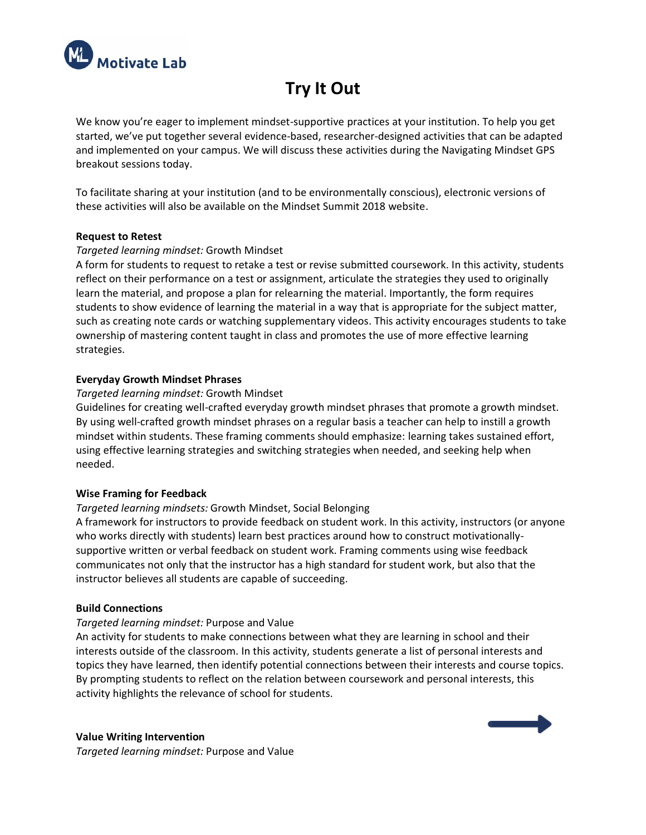

# **Try It Out**

We know you're eager to implement mindset-supportive practices at your institution. To help you get started, we've put together several evidence-based, researcher-designed activities that can be adapted and implemented on your campus. We will discuss these activities during the Navigating Mindset GPS breakout sessions today.

To facilitate sharing at your institution (and to be environmentally conscious), electronic versions of these activities will also be available on the Mindset Summit 2018 website.

## **Request to Retest**

# *Targeted learning mindset:* Growth Mindset

A form for students to request to retake a test or revise submitted coursework. In this activity, students reflect on their performance on a test or assignment, articulate the strategies they used to originally learn the material, and propose a plan for relearning the material. Importantly, the form requires students to show evidence of learning the material in a way that is appropriate for the subject matter, such as creating note cards or watching supplementary videos. This activity encourages students to take ownership of mastering content taught in class and promotes the use of more effective learning strategies.

## **Everyday Growth Mindset Phrases**

#### *Targeted learning mindset:* Growth Mindset

Guidelines for creating well-crafted everyday growth mindset phrases that promote a growth mindset. By using well-crafted growth mindset phrases on a regular basis a teacher can help to instill a growth mindset within students. These framing comments should emphasize: learning takes sustained effort, using effective learning strategies and switching strategies when needed, and seeking help when needed.

#### **Wise Framing for Feedback**

# *Targeted learning mindsets:* Growth Mindset, Social Belonging

A framework for instructors to provide feedback on student work. In this activity, instructors (or anyone who works directly with students) learn best practices around how to construct motivationallysupportive written or verbal feedback on student work. Framing comments using wise feedback communicates not only that the instructor has a high standard for student work, but also that the instructor believes all students are capable of succeeding.

#### **Build Connections**

#### *Targeted learning mindset:* Purpose and Value

An activity for students to make connections between what they are learning in school and their interests outside of the classroom. In this activity, students generate a list of personal interests and topics they have learned, then identify potential connections between their interests and course topics. By prompting students to reflect on the relation between coursework and personal interests, this activity highlights the relevance of school for students.

# **Value Writing Intervention**

*Targeted learning mindset:* Purpose and Value